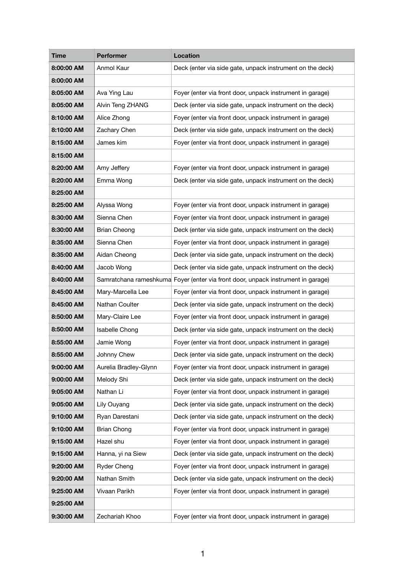| <b>Time</b> | <b>Performer</b>      | <b>Location</b>                                                                  |
|-------------|-----------------------|----------------------------------------------------------------------------------|
| 8:00:00 AM  | Anmol Kaur            | Deck (enter via side gate, unpack instrument on the deck)                        |
| 8:00:00 AM  |                       |                                                                                  |
| 8:05:00 AM  | Ava Ying Lau          | Foyer (enter via front door, unpack instrument in garage)                        |
| 8:05:00 AM  | Alvin Teng ZHANG      | Deck (enter via side gate, unpack instrument on the deck)                        |
| 8:10:00 AM  | Alice Zhong           | Foyer (enter via front door, unpack instrument in garage)                        |
| 8:10:00 AM  | Zachary Chen          | Deck (enter via side gate, unpack instrument on the deck)                        |
| 8:15:00 AM  | James kim             | Foyer (enter via front door, unpack instrument in garage)                        |
| 8:15:00 AM  |                       |                                                                                  |
| 8:20:00 AM  | Amy Jeffery           | Foyer (enter via front door, unpack instrument in garage)                        |
| 8:20:00 AM  | Emma Wong             | Deck (enter via side gate, unpack instrument on the deck)                        |
| 8:25:00 AM  |                       |                                                                                  |
| 8:25:00 AM  | Alyssa Wong           | Foyer (enter via front door, unpack instrument in garage)                        |
| 8:30:00 AM  | Sienna Chen           | Foyer (enter via front door, unpack instrument in garage)                        |
| 8:30:00 AM  | <b>Brian Cheong</b>   | Deck (enter via side gate, unpack instrument on the deck)                        |
| 8:35:00 AM  | Sienna Chen           | Foyer (enter via front door, unpack instrument in garage)                        |
| 8:35:00 AM  | Aidan Cheong          | Deck (enter via side gate, unpack instrument on the deck)                        |
| 8:40:00 AM  | Jacob Wong            | Deck (enter via side gate, unpack instrument on the deck)                        |
| 8:40:00 AM  |                       | Samratchana rameshkuma Foyer (enter via front door, unpack instrument in garage) |
| 8:45:00 AM  | Mary-Marcella Lee     | Foyer (enter via front door, unpack instrument in garage)                        |
| 8:45:00 AM  | Nathan Coulter        | Deck (enter via side gate, unpack instrument on the deck)                        |
| 8:50:00 AM  | Mary-Claire Lee       | Foyer (enter via front door, unpack instrument in garage)                        |
| 8:50:00 AM  | Isabelle Chong        | Deck (enter via side gate, unpack instrument on the deck)                        |
| 8:55:00 AM  | Jamie Wong            | Foyer (enter via front door, unpack instrument in garage)                        |
| 8:55:00 AM  | Johnny Chew           | Deck (enter via side gate, unpack instrument on the deck)                        |
| 9:00:00 AM  | Aurelia Bradley-Glynn | Foyer (enter via front door, unpack instrument in garage)                        |
| 9:00:00 AM  | Melody Shi            | Deck (enter via side gate, unpack instrument on the deck)                        |
| 9:05:00 AM  | Nathan Li             | Foyer (enter via front door, unpack instrument in garage)                        |
| 9:05:00 AM  | Lily Ouyang           | Deck (enter via side gate, unpack instrument on the deck)                        |
| 9:10:00 AM  | Ryan Darestani        | Deck (enter via side gate, unpack instrument on the deck)                        |
| 9:10:00 AM  | <b>Brian Chong</b>    | Foyer (enter via front door, unpack instrument in garage)                        |
| 9:15:00 AM  | Hazel shu             | Foyer (enter via front door, unpack instrument in garage)                        |
| 9:15:00 AM  | Hanna, yi na Siew     | Deck (enter via side gate, unpack instrument on the deck)                        |
| 9:20:00 AM  | <b>Ryder Cheng</b>    | Foyer (enter via front door, unpack instrument in garage)                        |
| 9:20:00 AM  | Nathan Smith          | Deck (enter via side gate, unpack instrument on the deck)                        |
| 9:25:00 AM  | Vivaan Parikh         | Foyer (enter via front door, unpack instrument in garage)                        |
| 9:25:00 AM  |                       |                                                                                  |
| 9:30:00 AM  | Zechariah Khoo        | Foyer (enter via front door, unpack instrument in garage)                        |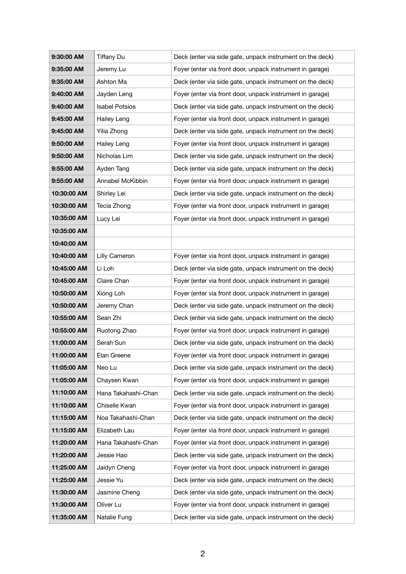| 9:30:00 AM  | <b>Tiffany Du</b>     | Deck (enter via side gate, unpack instrument on the deck) |
|-------------|-----------------------|-----------------------------------------------------------|
| 9:35:00 AM  | Jeremy Lu             | Foyer (enter via front door, unpack instrument in garage) |
| 9:35:00 AM  | Ashton Ma             | Deck (enter via side gate, unpack instrument on the deck) |
| 9:40:00 AM  | Jayden Leng           | Foyer (enter via front door, unpack instrument in garage) |
| 9:40:00 AM  | <b>Isabel Potsios</b> | Deck (enter via side gate, unpack instrument on the deck) |
| 9:45:00 AM  | <b>Hailey Leng</b>    | Foyer (enter via front door, unpack instrument in garage) |
| 9:45:00 AM  | Yilia Zhong           | Deck (enter via side gate, unpack instrument on the deck) |
| 9:50:00 AM  | <b>Hailey Leng</b>    | Foyer (enter via front door, unpack instrument in garage) |
| 9:50:00 AM  | Nicholas Lim          | Deck (enter via side gate, unpack instrument on the deck) |
| 9:55:00 AM  | Ayden Tang            | Deck (enter via side gate, unpack instrument on the deck) |
| 9:55:00 AM  | Annabel McKibbin      | Foyer (enter via front door, unpack instrument in garage) |
| 10:30:00 AM | Shirley Lei           | Deck (enter via side gate, unpack instrument on the deck) |
| 10:30:00 AM | Tecia Zhong           | Foyer (enter via front door, unpack instrument in garage) |
| 10:35:00 AM | Lucy Lei              | Foyer (enter via front door, unpack instrument in garage) |
| 10:35:00 AM |                       |                                                           |
| 10:40:00 AM |                       |                                                           |
| 10:40:00 AM | Lilly Cameron         | Foyer (enter via front door, unpack instrument in garage) |
| 10:45:00 AM | Li Loh                | Deck (enter via side gate, unpack instrument on the deck) |
| 10:45:00 AM | Claire Chan           | Foyer (enter via front door, unpack instrument in garage) |
| 10:50:00 AM | Xiong Loh             | Foyer (enter via front door, unpack instrument in garage) |
| 10:50:00 AM | Jeremy Chan           | Deck (enter via side gate, unpack instrument on the deck) |
| 10:55:00 AM | Sean Zhi              | Deck (enter via side gate, unpack instrument on the deck) |
| 10:55:00 AM | Ruotong Zhao          | Foyer (enter via front door, unpack instrument in garage) |
| 11:00:00 AM | Serah Sun             | Deck (enter via side gate, unpack instrument on the deck) |
| 11:00:00 AM | Elan Greene           | Foyer (enter via front door, unpack instrument in garage) |
| 11:05:00 AM | Neo Lu                | Deck (enter via side gate, unpack instrument on the deck) |
| 11:05:00 AM | Chaysen Kwan          | Foyer (enter via front door, unpack instrument in garage) |
| 11:10:00 AM | Hana Takahashi-Chan   | Deck (enter via side gate, unpack instrument on the deck) |
| 11:10:00 AM | Chiselle Kwan         | Foyer (enter via front door, unpack instrument in garage) |
| 11:15:00 AM | Noa Takahashi-Chan    | Deck (enter via side gate, unpack instrument on the deck) |
| 11:15:00 AM | Elizabeth Lau         | Foyer (enter via front door, unpack instrument in garage) |
| 11:20:00 AM | Hana Takahashi-Chan   | Foyer (enter via front door, unpack instrument in garage) |
| 11:20:00 AM | Jessie Hao            | Deck (enter via side gate, unpack instrument on the deck) |
| 11:25:00 AM | Jaidyn Cheng          | Foyer (enter via front door, unpack instrument in garage) |
| 11:25:00 AM | Jessie Yu             | Deck (enter via side gate, unpack instrument on the deck) |
| 11:30:00 AM | Jasmine Cheng         | Deck (enter via side gate, unpack instrument on the deck) |
| 11:30:00 AM | Oliver Lu             | Foyer (enter via front door, unpack instrument in garage) |
| 11:35:00 AM | Natalie Fung          | Deck (enter via side gate, unpack instrument on the deck) |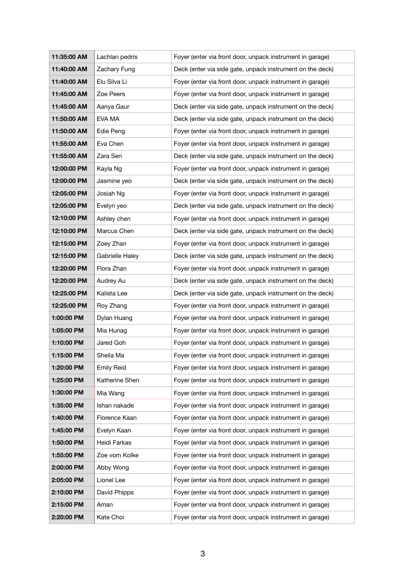| 11:35:00 AM | Lachlan pedris    | Foyer (enter via front door, unpack instrument in garage) |
|-------------|-------------------|-----------------------------------------------------------|
| 11:40:00 AM | Zachary Fung      | Deck (enter via side gate, unpack instrument on the deck) |
| 11:40:00 AM | Elu Silva Li      | Foyer (enter via front door, unpack instrument in garage) |
| 11:45:00 AM | Zoe Peers         | Foyer (enter via front door, unpack instrument in garage) |
| 11:45:00 AM | Aanya Gaur        | Deck (enter via side gate, unpack instrument on the deck) |
| 11:50:00 AM | EVA MA            | Deck (enter via side gate, unpack instrument on the deck) |
| 11:50:00 AM | Edie Peng         | Foyer (enter via front door, unpack instrument in garage) |
| 11:55:00 AM | Eva Chen          | Foyer (enter via front door, unpack instrument in garage) |
| 11:55:00 AM | Zara Sen          | Deck (enter via side gate, unpack instrument on the deck) |
| 12:00:00 PM | Kayla Ng          | Foyer (enter via front door, unpack instrument in garage) |
| 12:00:00 PM | Jasmine yeo       | Deck (enter via side gate, unpack instrument on the deck) |
| 12:05:00 PM | Josiah Ng         | Foyer (enter via front door, unpack instrument in garage) |
| 12:05:00 PM | Evelyn yeo        | Deck (enter via side gate, unpack instrument on the deck) |
| 12:10:00 PM | Ashley chen       | Foyer (enter via front door, unpack instrument in garage) |
| 12:10:00 PM | Marcus Chen       | Deck (enter via side gate, unpack instrument on the deck) |
| 12:15:00 PM | Zoey Zhan         | Foyer (enter via front door, unpack instrument in garage) |
| 12:15:00 PM | Gabrielle Haley   | Deck (enter via side gate, unpack instrument on the deck) |
| 12:20:00 PM | Flora Zhan        | Foyer (enter via front door, unpack instrument in garage) |
| 12:20:00 PM | Audrey Au         | Deck (enter via side gate, unpack instrument on the deck) |
| 12:25:00 PM | Kalista Lee       | Deck (enter via side gate, unpack instrument on the deck) |
| 12:25:00 PM | Roy Zhang         | Foyer (enter via front door, unpack instrument in garage) |
| 1:00:00 PM  | Dylan Huang       | Foyer (enter via front door, unpack instrument in garage) |
| 1:05:00 PM  | Mia Hunag         | Foyer (enter via front door, unpack instrument in garage) |
| 1:10:00 PM  | Jared Goh         | Foyer (enter via front door, unpack instrument in garage) |
| 1:15:00 PM  | Sheila Ma         | Foyer (enter via front door, unpack instrument in garage) |
| 1:20:00 PM  | <b>Emily Reid</b> | Foyer (enter via front door, unpack instrument in garage) |
| 1:25:00 PM  | Katherine Shen    | Foyer (enter via front door, unpack instrument in garage) |
| 1:30:00 PM  | Mia Wang          | Foyer (enter via front door, unpack instrument in garage) |
| 1:35:00 PM  | Ishan nakade      | Foyer (enter via front door, unpack instrument in garage) |
| 1:40:00 PM  | Florence Kaan     | Foyer (enter via front door, unpack instrument in garage) |
| 1:45:00 PM  | Evelyn Kaan       | Foyer (enter via front door, unpack instrument in garage) |
| 1:50:00 PM  | Heidi Farkas      | Foyer (enter via front door, unpack instrument in garage) |
| 1:55:00 PM  | Zoe vom Kolke     | Foyer (enter via front door, unpack instrument in garage) |
| 2:00:00 PM  | Abby Wong         | Foyer (enter via front door, unpack instrument in garage) |
| 2:05:00 PM  | Lionel Lee        | Foyer (enter via front door, unpack instrument in garage) |
| 2:10:00 PM  | David Phipps      | Foyer (enter via front door, unpack instrument in garage) |
| 2:15:00 PM  | Aman              | Foyer (enter via front door, unpack instrument in garage) |
| 2:20:00 PM  | Kate Choi         | Foyer (enter via front door, unpack instrument in garage) |